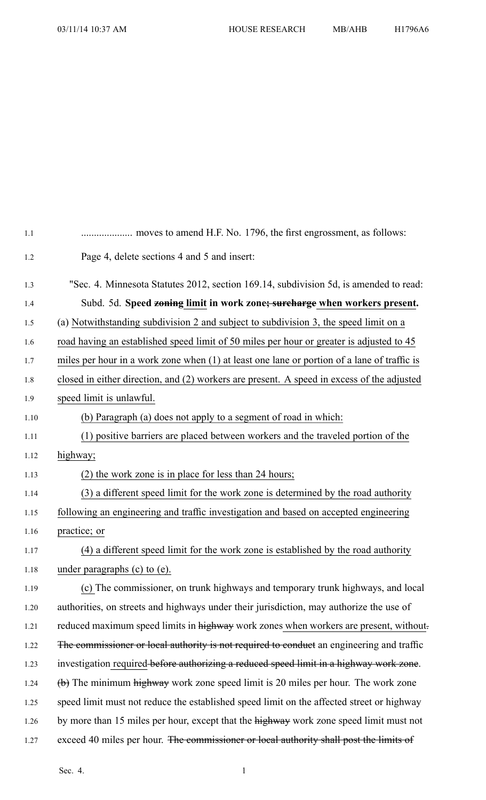| 1.1  |                                                                                              |
|------|----------------------------------------------------------------------------------------------|
| 1.2  | Page 4, delete sections 4 and 5 and insert:                                                  |
| 1.3  | "Sec. 4. Minnesota Statutes 2012, section 169.14, subdivision 5d, is amended to read:        |
| 1.4  | Subd. 5d. Speed zoning limit in work zone; surcharge when workers present.                   |
| 1.5  | (a) Notwithstanding subdivision 2 and subject to subdivision 3, the speed limit on a         |
| 1.6  | road having an established speed limit of 50 miles per hour or greater is adjusted to 45     |
| 1.7  | miles per hour in a work zone when (1) at least one lane or portion of a lane of traffic is  |
| 1.8  | closed in either direction, and (2) workers are present. A speed in excess of the adjusted   |
| 1.9  | speed limit is unlawful.                                                                     |
| 1.10 | (b) Paragraph (a) does not apply to a segment of road in which:                              |
| 1.11 | (1) positive barriers are placed between workers and the traveled portion of the             |
| 1.12 | highway;                                                                                     |
| 1.13 | (2) the work zone is in place for less than 24 hours;                                        |
| 1.14 | (3) a different speed limit for the work zone is determined by the road authority            |
| 1.15 | following an engineering and traffic investigation and based on accepted engineering         |
| 1.16 | practice; or                                                                                 |
| 1.17 | (4) a different speed limit for the work zone is established by the road authority           |
| 1.18 | under paragraphs $(c)$ to $(e)$ .                                                            |
| 1.19 | (c) The commissioner, on trunk highways and temporary trunk highways, and local              |
| 1.20 | authorities, on streets and highways under their jurisdiction, may authorize the use of      |
| 1.21 | reduced maximum speed limits in highway work zones when workers are present, without         |
| 1.22 | The commissioner or local authority is not required to conduct an engineering and traffic    |
| 1.23 | investigation required before authorizing a reduced speed limit in a highway work zone.      |
| 1.24 | $\overline{a}$ The minimum highway work zone speed limit is 20 miles per hour. The work zone |
| 1.25 | speed limit must not reduce the established speed limit on the affected street or highway    |
| 1.26 | by more than 15 miles per hour, except that the highway work zone speed limit must not       |
| 1.27 | exceed 40 miles per hour. The commissioner or local authority shall post the limits of       |
|      |                                                                                              |